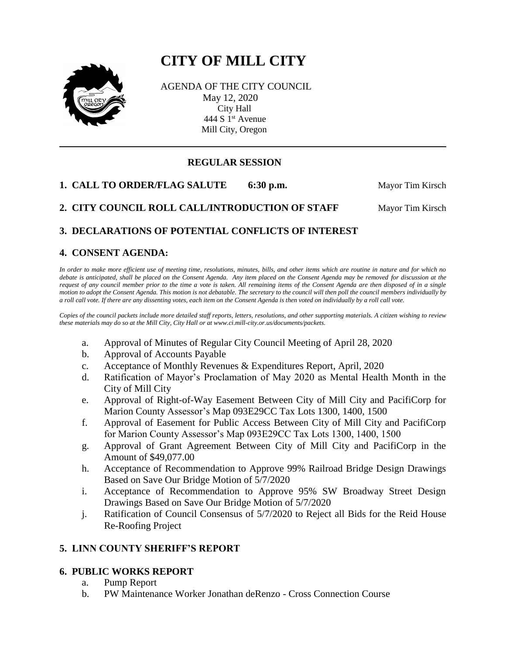# **CITY OF MILL CITY**



AGENDA OF THE CITY COUNCIL May 12, 2020 City Hall 444 S 1<sup>st</sup> Avenue Mill City, Oregon

# **REGULAR SESSION**

**1. CALL TO ORDER/FLAG SALUTE** 6:30 p.m. Mayor Tim Kirsch

**2. CITY COUNCIL ROLL CALL/INTRODUCTION OF STAFF Mayor Tim Kirsch** 

# **3. DECLARATIONS OF POTENTIAL CONFLICTS OF INTEREST**

## **4. CONSENT AGENDA:**

*In order to make more efficient use of meeting time, resolutions, minutes, bills, and other items which are routine in nature and for which no debate is anticipated, shall be placed on the Consent Agenda. Any item placed on the Consent Agenda may be removed for discussion at the request of any council member prior to the time a vote is taken. All remaining items of the Consent Agenda are then disposed of in a single motion to adopt the Consent Agenda. This motion is not debatable. The secretary to the council will then poll the council members individually by a roll call vote. If there are any dissenting votes, each item on the Consent Agenda is then voted on individually by a roll call vote.*

*Copies of the council packets include more detailed staff reports, letters, resolutions, and other supporting materials. A citizen wishing to review these materials may do so at the Mill City, City Hall or at www.ci.mill-city.or.us/documents/packets.*

- a. Approval of Minutes of Regular City Council Meeting of April 28, 2020
- b. Approval of Accounts Payable
- c. Acceptance of Monthly Revenues & Expenditures Report, April, 2020
- d. Ratification of Mayor's Proclamation of May 2020 as Mental Health Month in the City of Mill City
- e. Approval of Right-of-Way Easement Between City of Mill City and PacifiCorp for Marion County Assessor's Map 093E29CC Tax Lots 1300, 1400, 1500
- f. Approval of Easement for Public Access Between City of Mill City and PacifiCorp for Marion County Assessor's Map 093E29CC Tax Lots 1300, 1400, 1500
- g. Approval of Grant Agreement Between City of Mill City and PacifiCorp in the Amount of \$49,077.00
- h. Acceptance of Recommendation to Approve 99% Railroad Bridge Design Drawings Based on Save Our Bridge Motion of 5/7/2020
- i. Acceptance of Recommendation to Approve 95% SW Broadway Street Design Drawings Based on Save Our Bridge Motion of 5/7/2020
- j. Ratification of Council Consensus of 5/7/2020 to Reject all Bids for the Reid House Re-Roofing Project

## **5. LINN COUNTY SHERIFF'S REPORT**

#### **6. PUBLIC WORKS REPORT**

- a. Pump Report
- b. PW Maintenance Worker Jonathan deRenzo Cross Connection Course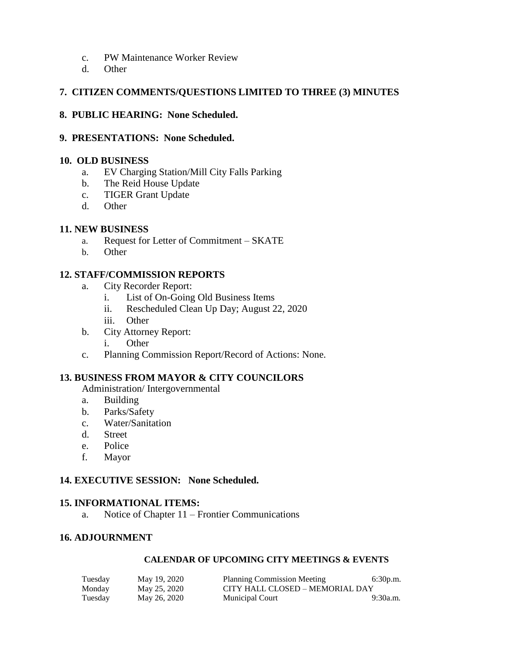- c. PW Maintenance Worker Review
- d. Other

## **7. CITIZEN COMMENTS/QUESTIONS LIMITED TO THREE (3) MINUTES**

## **8. PUBLIC HEARING: None Scheduled.**

#### **9. PRESENTATIONS: None Scheduled.**

#### **10. OLD BUSINESS**

- a. EV Charging Station/Mill City Falls Parking
- b. The Reid House Update
- c. TIGER Grant Update
- d. Other

## **11. NEW BUSINESS**

- a. Request for Letter of Commitment SKATE
- b. Other

## **12. STAFF/COMMISSION REPORTS**

- a. City Recorder Report:
	- i. List of On-Going Old Business Items
	- ii. Rescheduled Clean Up Day; August 22, 2020
	- iii. Other
- b. City Attorney Report:
	- i. Other
- c. Planning Commission Report/Record of Actions: None.

# **13. BUSINESS FROM MAYOR & CITY COUNCILORS**

Administration/ Intergovernmental

- a. Building
- b. Parks/Safety
- c. Water/Sanitation
- d. Street
- e. Police
- f. Mayor

## **14. EXECUTIVE SESSION: None Scheduled.**

## **15. INFORMATIONAL ITEMS:**

a. Notice of Chapter 11 – Frontier Communications

## **16. ADJOURNMENT**

#### **CALENDAR OF UPCOMING CITY MEETINGS & EVENTS**

| Tuesday | May 19, 2020 | Planning Commission Meeting     | 6:30p.m. |  |
|---------|--------------|---------------------------------|----------|--|
| Monday  | May 25, 2020 | CITY HALL CLOSED – MEMORIAL DAY |          |  |
| Tuesday | May 26, 2020 | <b>Municipal Court</b>          | 9:30a.m. |  |